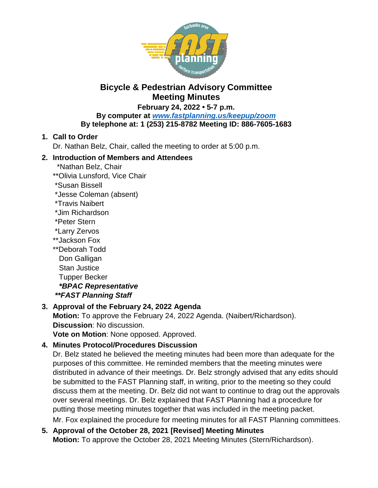

# **Bicycle & Pedestrian Advisory Committee Meeting Minutes**

**February 24, 2022 • 5-7 p.m.**

#### **By computer at** *[www.fastplanning.us/keepup/zoom](http://www.fastplanning.us/keepup/zoom)* **By telephone at: 1 (253) 215-8782 Meeting ID: 886-7605-1683**

### **1. Call to Order**

Dr. Nathan Belz, Chair, called the meeting to order at 5:00 p.m.

### **2. Introduction of Members and Attendees**

- \*Nathan Belz, Chair
- \*\*Olivia Lunsford, Vice Chair
- \*Susan Bissell
- \*Jesse Coleman (absent)
- \*Travis Naibert
- \*Jim Richardson
- \*Peter Stern
- \*Larry Zervos
- \*\*Jackson Fox
- \*\*Deborah Todd Don Galligan Stan Justice Tupper Becker  *\*BPAC Representative*
- *\*\*FAST Planning Staff*

# **3. Approval of the February 24, 2022 Agenda**

**Motion:** To approve the February 24, 2022 Agenda. (Naibert/Richardson). **Discussion**: No discussion.

**Vote on Motion**: None opposed. Approved.

# **4. Minutes Protocol/Procedures Discussion**

Dr. Belz stated he believed the meeting minutes had been more than adequate for the purposes of this committee. He reminded members that the meeting minutes were distributed in advance of their meetings. Dr. Belz strongly advised that any edits should be submitted to the FAST Planning staff, in writing, prior to the meeting so they could discuss them at the meeting. Dr. Belz did not want to continue to drag out the approvals over several meetings. Dr. Belz explained that FAST Planning had a procedure for putting those meeting minutes together that was included in the meeting packet. Mr. Fox explained the procedure for meeting minutes for all FAST Planning committees.

### **5. Approval of the October 28, 2021 [Revised] Meeting Minutes Motion:** To approve the October 28, 2021 Meeting Minutes (Stern/Richardson).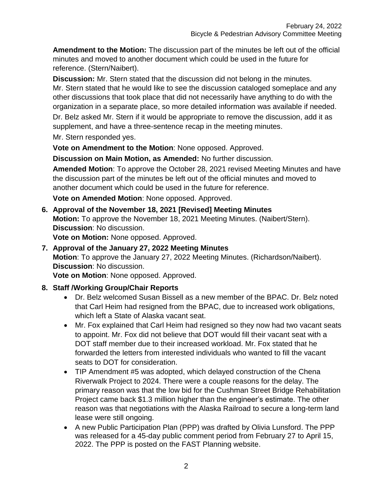**Amendment to the Motion:** The discussion part of the minutes be left out of the official minutes and moved to another document which could be used in the future for reference. (Stern/Naibert).

**Discussion:** Mr. Stern stated that the discussion did not belong in the minutes. Mr. Stern stated that he would like to see the discussion cataloged someplace and any other discussions that took place that did not necessarily have anything to do with the organization in a separate place, so more detailed information was available if needed.

Dr. Belz asked Mr. Stern if it would be appropriate to remove the discussion, add it as supplement, and have a three-sentence recap in the meeting minutes.

Mr. Stern responded yes.

**Vote on Amendment to the Motion**: None opposed. Approved.

**Discussion on Main Motion, as Amended:** No further discussion.

**Amended Motion**: To approve the October 28, 2021 revised Meeting Minutes and have the discussion part of the minutes be left out of the official minutes and moved to another document which could be used in the future for reference.

**Vote on Amended Motion**: None opposed. Approved.

**6. Approval of the November 18, 2021 [Revised] Meeting Minutes Motion:** To approve the November 18, 2021 Meeting Minutes. (Naibert/Stern). **Discussion**: No discussion.

**Vote on Motion:** None opposed. Approved.

**7. Approval of the January 27, 2022 Meeting Minutes Motion**: To approve the January 27, 2022 Meeting Minutes. (Richardson/Naibert). **Discussion**: No discussion.

**Vote on Motion**: None opposed. Approved.

### **8. Staff /Working Group/Chair Reports**

- Dr. Belz welcomed Susan Bissell as a new member of the BPAC. Dr. Belz noted that Carl Heim had resigned from the BPAC, due to increased work obligations, which left a State of Alaska vacant seat.
- Mr. Fox explained that Carl Heim had resigned so they now had two vacant seats to appoint. Mr. Fox did not believe that DOT would fill their vacant seat with a DOT staff member due to their increased workload. Mr. Fox stated that he forwarded the letters from interested individuals who wanted to fill the vacant seats to DOT for consideration.
- TIP Amendment #5 was adopted, which delayed construction of the Chena Riverwalk Project to 2024. There were a couple reasons for the delay. The primary reason was that the low bid for the Cushman Street Bridge Rehabilitation Project came back \$1.3 million higher than the engineer's estimate. The other reason was that negotiations with the Alaska Railroad to secure a long-term land lease were still ongoing.
- A new Public Participation Plan (PPP) was drafted by Olivia Lunsford. The PPP was released for a 45-day public comment period from February 27 to April 15, 2022. The PPP is posted on the FAST Planning website.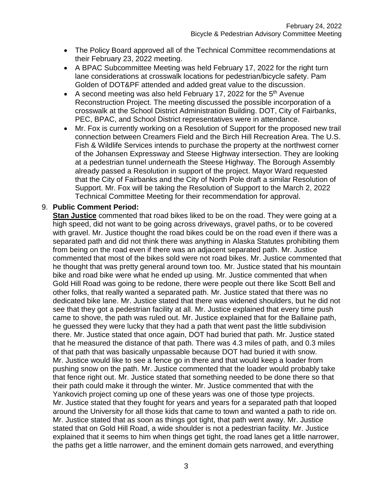- The Policy Board approved all of the Technical Committee recommendations at their February 23, 2022 meeting.
- A BPAC Subcommittee Meeting was held February 17, 2022 for the right turn lane considerations at crosswalk locations for pedestrian/bicycle safety. Pam Golden of DOT&PF attended and added great value to the discussion.
- A second meeting was also held February 17, 2022 for the  $5<sup>th</sup>$  Avenue Reconstruction Project. The meeting discussed the possible incorporation of a crosswalk at the School District Administration Building. DOT, City of Fairbanks, PEC, BPAC, and School District representatives were in attendance.
- Mr. Fox is currently working on a Resolution of Support for the proposed new trail connection between Creamers Field and the Birch Hill Recreation Area. The U.S. Fish & Wildlife Services intends to purchase the property at the northwest corner of the Johansen Expressway and Steese Highway intersection. They are looking at a pedestrian tunnel underneath the Steese Highway. The Borough Assembly already passed a Resolution in support of the project. Mayor Ward requested that the City of Fairbanks and the City of North Pole draft a similar Resolution of Support. Mr. Fox will be taking the Resolution of Support to the March 2, 2022 Technical Committee Meeting for their recommendation for approval.

#### 9. **Public Comment Period:**

**Stan Justice** commented that road bikes liked to be on the road. They were going at a high speed, did not want to be going across driveways, gravel paths, or to be covered with gravel. Mr. Justice thought the road bikes could be on the road even if there was a separated path and did not think there was anything in Alaska Statutes prohibiting them from being on the road even if there was an adjacent separated path. Mr. Justice commented that most of the bikes sold were not road bikes. Mr. Justice commented that he thought that was pretty general around town too. Mr. Justice stated that his mountain bike and road bike were what he ended up using. Mr. Justice commented that when Gold Hill Road was going to be redone, there were people out there like Scott Bell and other folks, that really wanted a separated path. Mr. Justice stated that there was no dedicated bike lane. Mr. Justice stated that there was widened shoulders, but he did not see that they got a pedestrian facility at all. Mr. Justice explained that every time push came to shove, the path was ruled out. Mr. Justice explained that for the Ballaine path, he guessed they were lucky that they had a path that went past the little subdivision there. Mr. Justice stated that once again, DOT had buried that path. Mr. Justice stated that he measured the distance of that path. There was 4.3 miles of path, and 0.3 miles of that path that was basically unpassable because DOT had buried it with snow. Mr. Justice would like to see a fence go in there and that would keep a loader from pushing snow on the path. Mr. Justice commented that the loader would probably take that fence right out. Mr. Justice stated that something needed to be done there so that their path could make it through the winter. Mr. Justice commented that with the Yankovich project coming up one of these years was one of those type projects. Mr. Justice stated that they fought for years and years for a separated path that looped around the University for all those kids that came to town and wanted a path to ride on. Mr. Justice stated that as soon as things got tight, that path went away. Mr. Justice stated that on Gold Hill Road, a wide shoulder is not a pedestrian facility. Mr. Justice explained that it seems to him when things get tight, the road lanes get a little narrower, the paths get a little narrower, and the eminent domain gets narrowed, and everything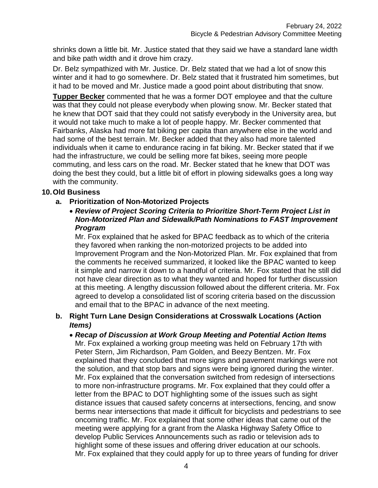shrinks down a little bit. Mr. Justice stated that they said we have a standard lane width and bike path width and it drove him crazy.

Dr. Belz sympathized with Mr. Justice. Dr. Belz stated that we had a lot of snow this winter and it had to go somewhere. Dr. Belz stated that it frustrated him sometimes, but it had to be moved and Mr. Justice made a good point about distributing that snow.

**Tupper Becker** commented that he was a former DOT employee and that the culture was that they could not please everybody when plowing snow. Mr. Becker stated that he knew that DOT said that they could not satisfy everybody in the University area, but it would not take much to make a lot of people happy. Mr. Becker commented that Fairbanks, Alaska had more fat biking per capita than anywhere else in the world and had some of the best terrain. Mr. Becker added that they also had more talented individuals when it came to endurance racing in fat biking. Mr. Becker stated that if we had the infrastructure, we could be selling more fat bikes, seeing more people commuting, and less cars on the road. Mr. Becker stated that he knew that DOT was doing the best they could, but a little bit of effort in plowing sidewalks goes a long way with the community.

### **10.Old Business**

- **a. Prioritization of Non-Motorized Projects**
	- *Review of Project Scoring Criteria to Prioritize Short-Term Project List in Non-Motorized Plan and Sidewalk/Path Nominations to FAST Improvement Program*

Mr. Fox explained that he asked for BPAC feedback as to which of the criteria they favored when ranking the non-motorized projects to be added into Improvement Program and the Non-Motorized Plan. Mr. Fox explained that from the comments he received summarized, it looked like the BPAC wanted to keep it simple and narrow it down to a handful of criteria. Mr. Fox stated that he still did not have clear direction as to what they wanted and hoped for further discussion at this meeting. A lengthy discussion followed about the different criteria. Mr. Fox agreed to develop a consolidated list of scoring criteria based on the discussion and email that to the BPAC in advance of the next meeting.

#### **b. Right Turn Lane Design Considerations at Crosswalk Locations (Action**  *Items)*

 *Recap of Discussion at Work Group Meeting and Potential Action Items* Mr. Fox explained a working group meeting was held on February 17th with Peter Stern, Jim Richardson, Pam Golden, and Beezy Bentzen. Mr. Fox explained that they concluded that more signs and pavement markings were not the solution, and that stop bars and signs were being ignored during the winter. Mr. Fox explained that the conversation switched from redesign of intersections to more non-infrastructure programs. Mr. Fox explained that they could offer a letter from the BPAC to DOT highlighting some of the issues such as sight distance issues that caused safety concerns at intersections, fencing, and snow berms near intersections that made it difficult for bicyclists and pedestrians to see oncoming traffic. Mr. Fox explained that some other ideas that came out of the meeting were applying for a grant from the Alaska Highway Safety Office to develop Public Services Announcements such as radio or television ads to highlight some of these issues and offering driver education at our schools. Mr. Fox explained that they could apply for up to three years of funding for driver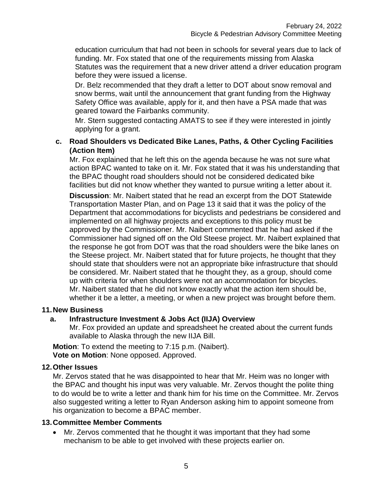education curriculum that had not been in schools for several years due to lack of funding. Mr. Fox stated that one of the requirements missing from Alaska Statutes was the requirement that a new driver attend a driver education program before they were issued a license.

Dr. Belz recommended that they draft a letter to DOT about snow removal and snow berms, wait until the announcement that grant funding from the Highway Safety Office was available, apply for it, and then have a PSA made that was geared toward the Fairbanks community.

Mr. Stern suggested contacting AMATS to see if they were interested in jointly applying for a grant.

### **c. Road Shoulders vs Dedicated Bike Lanes, Paths, & Other Cycling Facilities (Action Item)**

Mr. Fox explained that he left this on the agenda because he was not sure what action BPAC wanted to take on it. Mr. Fox stated that it was his understanding that the BPAC thought road shoulders should not be considered dedicated bike facilities but did not know whether they wanted to pursue writing a letter about it.

**Discussion**: Mr. Naibert stated that he read an excerpt from the DOT Statewide Transportation Master Plan, and on Page 13 it said that it was the policy of the Department that accommodations for bicyclists and pedestrians be considered and implemented on all highway projects and exceptions to this policy must be approved by the Commissioner. Mr. Naibert commented that he had asked if the Commissioner had signed off on the Old Steese project. Mr. Naibert explained that the response he got from DOT was that the road shoulders were the bike lanes on the Steese project. Mr. Naibert stated that for future projects, he thought that they should state that shoulders were not an appropriate bike infrastructure that should be considered. Mr. Naibert stated that he thought they, as a group, should come up with criteria for when shoulders were not an accommodation for bicycles. Mr. Naibert stated that he did not know exactly what the action item should be, whether it be a letter, a meeting, or when a new project was brought before them.

### **11.New Business**

### **a. Infrastructure Investment & Jobs Act (IIJA) Overview**

Mr. Fox provided an update and spreadsheet he created about the current funds available to Alaska through the new IIJA Bill.

**Motion**: To extend the meeting to 7:15 p.m. (Naibert). **Vote on Motion**: None opposed. Approved.

#### **12.Other Issues**

Mr. Zervos stated that he was disappointed to hear that Mr. Heim was no longer with the BPAC and thought his input was very valuable. Mr. Zervos thought the polite thing to do would be to write a letter and thank him for his time on the Committee. Mr. Zervos also suggested writing a letter to Ryan Anderson asking him to appoint someone from his organization to become a BPAC member.

### **13.Committee Member Comments**

 Mr. Zervos commented that he thought it was important that they had some mechanism to be able to get involved with these projects earlier on.